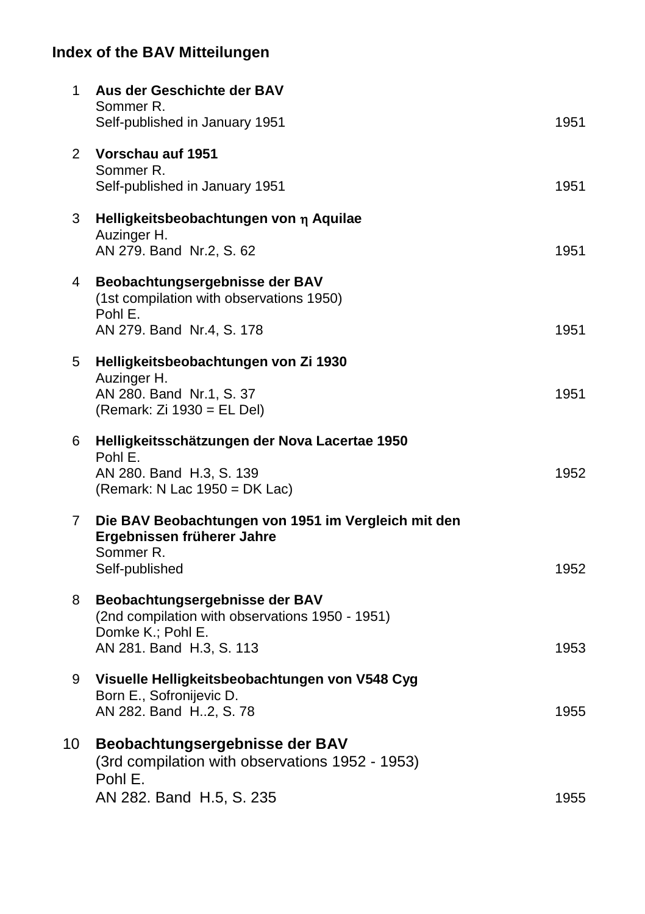| 1              | Aus der Geschichte der BAV<br>Sommer R.<br>Self-published in January 1951                                                          | 1951 |
|----------------|------------------------------------------------------------------------------------------------------------------------------------|------|
| 2              | Vorschau auf 1951<br>Sommer R.<br>Self-published in January 1951                                                                   | 1951 |
| 3              | Helligkeitsbeobachtungen von η Aquilae<br>Auzinger H.<br>AN 279. Band Nr.2, S. 62                                                  | 1951 |
| 4              | Beobachtungsergebnisse der BAV<br>(1st compilation with observations 1950)<br>Pohl E.<br>AN 279. Band Nr.4, S. 178                 | 1951 |
| 5              | Helligkeitsbeobachtungen von Zi 1930<br>Auzinger H.<br>AN 280. Band Nr.1, S. 37<br>(Remark: Zi 1930 = EL Del)                      | 1951 |
| 6              | Helligkeitsschätzungen der Nova Lacertae 1950<br>Pohl E.<br>AN 280. Band H.3, S. 139<br>(Remark: N Lac $1950 = DK$ Lac)            | 1952 |
| $\overline{7}$ | Die BAV Beobachtungen von 1951 im Vergleich mit den<br>Ergebnissen früherer Jahre<br>Sommer R.<br>Self-published                   | 1952 |
| 8              | Beobachtungsergebnisse der BAV<br>(2nd compilation with observations 1950 - 1951)<br>Domke K.; Pohl E.<br>AN 281. Band H.3, S. 113 | 1953 |
| 9              | Visuelle Helligkeitsbeobachtungen von V548 Cyg<br>Born E., Sofronijevic D.<br>AN 282. Band H2, S. 78                               | 1955 |
| 10             | Beobachtungsergebnisse der BAV<br>(3rd compilation with observations 1952 - 1953)<br>Pohl E.                                       |      |
|                | AN 282. Band H.5, S. 235                                                                                                           | 1955 |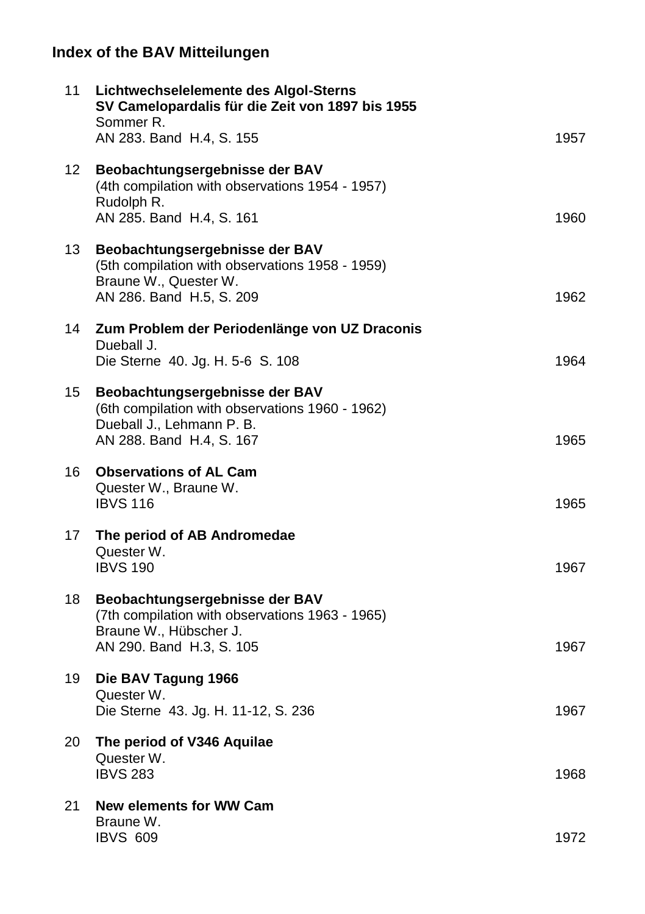| 11 | Lichtwechselelemente des Algol-Sterns<br>SV Camelopardalis für die Zeit von 1897 bis 1955<br>Sommer R.                                     |      |
|----|--------------------------------------------------------------------------------------------------------------------------------------------|------|
|    | AN 283. Band H.4, S. 155                                                                                                                   | 1957 |
| 12 | Beobachtungsergebnisse der BAV<br>(4th compilation with observations 1954 - 1957)<br>Rudolph R.<br>AN 285. Band H.4, S. 161                | 1960 |
| 13 | Beobachtungsergebnisse der BAV<br>(5th compilation with observations 1958 - 1959)<br>Braune W., Quester W.<br>AN 286. Band H.5, S. 209     | 1962 |
| 14 | Zum Problem der Periodenlänge von UZ Draconis<br>Dueball J.<br>Die Sterne 40. Jg. H. 5-6 S. 108                                            | 1964 |
| 15 | Beobachtungsergebnisse der BAV<br>(6th compilation with observations 1960 - 1962)<br>Dueball J., Lehmann P. B.<br>AN 288. Band H.4, S. 167 | 1965 |
| 16 | <b>Observations of AL Cam</b><br>Quester W., Braune W.<br><b>IBVS 116</b>                                                                  | 1965 |
| 17 | The period of AB Andromedae<br>Quester W.<br><b>IBVS 190</b>                                                                               | 1967 |
| 18 | Beobachtungsergebnisse der BAV<br>(7th compilation with observations 1963 - 1965)<br>Braune W., Hübscher J.<br>AN 290. Band H.3, S. 105    | 1967 |
| 19 | Die BAV Tagung 1966<br>Quester W.<br>Die Sterne 43. Jg. H. 11-12, S. 236                                                                   | 1967 |
| 20 | The period of V346 Aquilae<br>Quester W.<br><b>IBVS 283</b>                                                                                | 1968 |
| 21 | New elements for WW Cam<br>Braune W.<br><b>IBVS 609</b>                                                                                    | 1972 |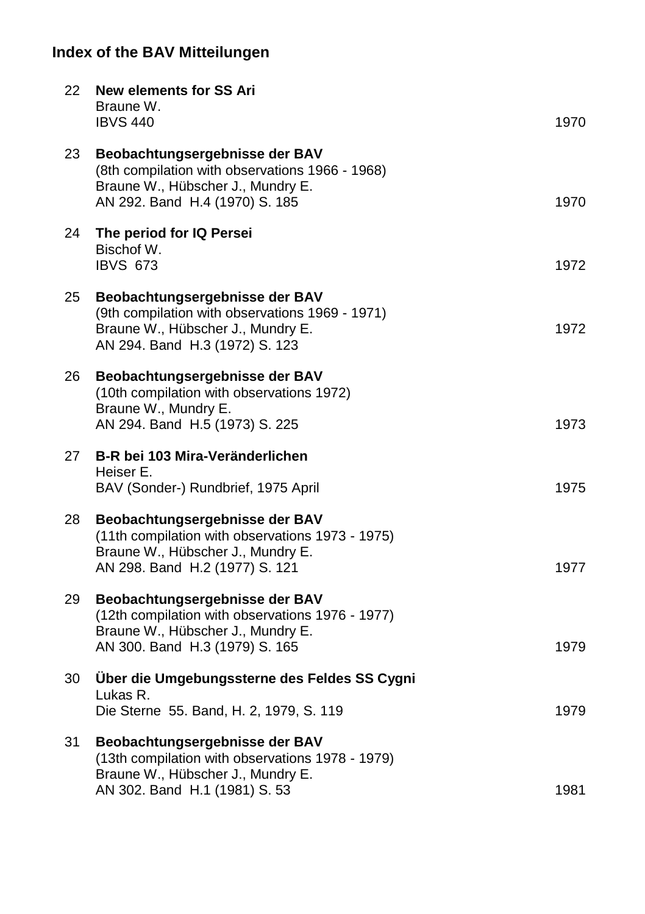| 22  | <b>New elements for SS Ari</b><br>Braune W.<br><b>IBVS 440</b>                                                                                            | 1970 |
|-----|-----------------------------------------------------------------------------------------------------------------------------------------------------------|------|
| 23  | Beobachtungsergebnisse der BAV<br>(8th compilation with observations 1966 - 1968)<br>Braune W., Hübscher J., Mundry E.<br>AN 292. Band H.4 (1970) S. 185  | 1970 |
| 24  | The period for IQ Persei<br>Bischof W.<br><b>IBVS 673</b>                                                                                                 | 1972 |
| 25  | Beobachtungsergebnisse der BAV<br>(9th compilation with observations 1969 - 1971)<br>Braune W., Hübscher J., Mundry E.<br>AN 294. Band H.3 (1972) S. 123  | 1972 |
| 26  | Beobachtungsergebnisse der BAV<br>(10th compilation with observations 1972)<br>Braune W., Mundry E.<br>AN 294. Band H.5 (1973) S. 225                     | 1973 |
| 27  | B-R bei 103 Mira-Veränderlichen<br>Heiser E.<br>BAV (Sonder-) Rundbrief, 1975 April                                                                       | 1975 |
| 28  | Beobachtungsergebnisse der BAV<br>(11th compilation with observations 1973 - 1975)<br>Braune W., Hübscher J., Mundry E.<br>AN 298. Band H.2 (1977) S. 121 | 1977 |
| 29. | Beobachtungsergebnisse der BAV<br>(12th compilation with observations 1976 - 1977)<br>Braune W., Hübscher J., Mundry E.<br>AN 300. Band H.3 (1979) S. 165 | 1979 |
| 30  | Über die Umgebungssterne des Feldes SS Cygni<br>Lukas R.<br>Die Sterne 55. Band, H. 2, 1979, S. 119                                                       | 1979 |
| 31  | Beobachtungsergebnisse der BAV<br>(13th compilation with observations 1978 - 1979)<br>Braune W., Hübscher J., Mundry E.<br>AN 302. Band H.1 (1981) S. 53  | 1981 |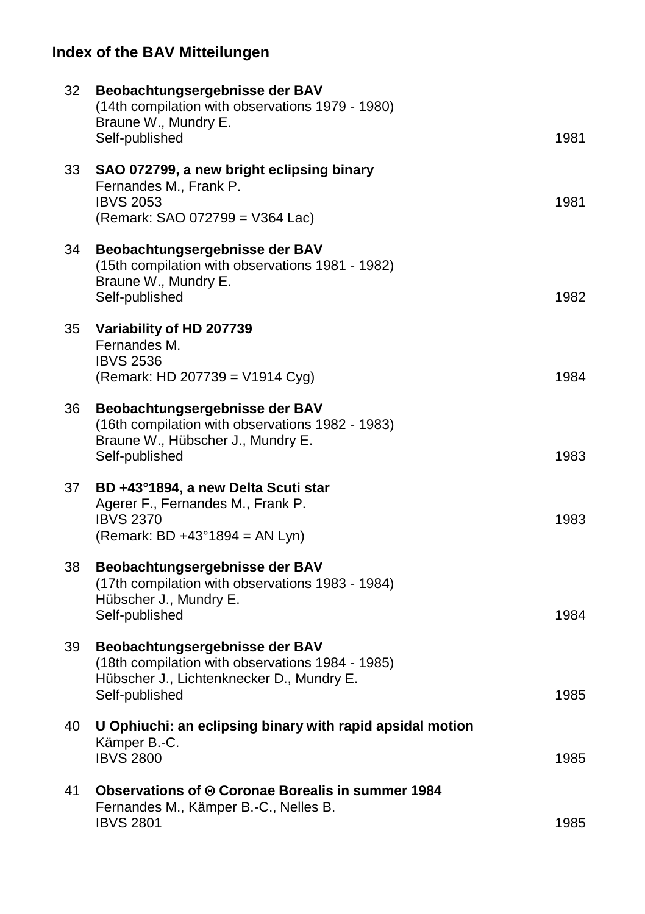| 32 | Beobachtungsergebnisse der BAV<br>(14th compilation with observations 1979 - 1980)<br>Braune W., Mundry E.<br>Self-published                      | 1981 |
|----|---------------------------------------------------------------------------------------------------------------------------------------------------|------|
| 33 | SAO 072799, a new bright eclipsing binary<br>Fernandes M., Frank P.<br><b>IBVS 2053</b><br>(Remark: SAO 072799 = V364 Lac)                        | 1981 |
| 34 | Beobachtungsergebnisse der BAV<br>(15th compilation with observations 1981 - 1982)<br>Braune W., Mundry E.<br>Self-published                      | 1982 |
| 35 | Variability of HD 207739<br>Fernandes M.<br><b>IBVS 2536</b><br>(Remark: HD 207739 = V1914 Cyg)                                                   | 1984 |
| 36 | Beobachtungsergebnisse der BAV<br>(16th compilation with observations 1982 - 1983)<br>Braune W., Hübscher J., Mundry E.<br>Self-published         | 1983 |
| 37 | BD +43°1894, a new Delta Scuti star<br>Agerer F., Fernandes M., Frank P.<br><b>IBVS 2370</b><br>(Remark: BD +43°1894 = AN Lyn)                    | 1983 |
| 38 | Beobachtungsergebnisse der BAV<br>(17th compilation with observations 1983 - 1984)<br>Hübscher J., Mundry E.<br>Self-published                    | 1984 |
| 39 | Beobachtungsergebnisse der BAV<br>(18th compilation with observations 1984 - 1985)<br>Hübscher J., Lichtenknecker D., Mundry E.<br>Self-published | 1985 |
| 40 | U Ophiuchi: an eclipsing binary with rapid apsidal motion<br>Kämper B.-C.<br><b>IBVS 2800</b>                                                     | 1985 |
| 41 | Observations of ⊕ Coronae Borealis in summer 1984<br>Fernandes M., Kämper B.-C., Nelles B.<br><b>IBVS 2801</b>                                    | 1985 |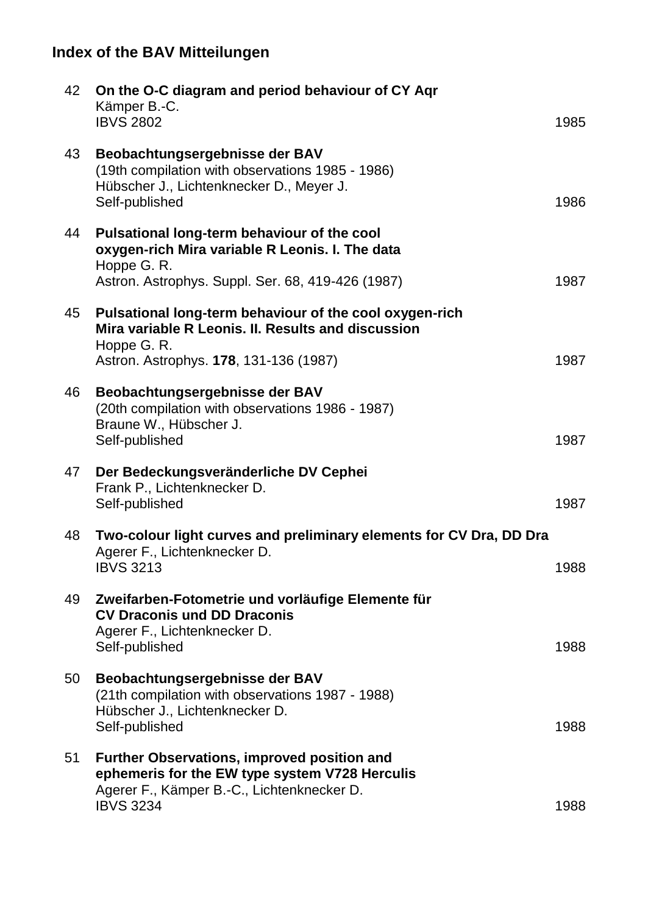| 42 | On the O-C diagram and period behaviour of CY Aqr<br>Kämper B.-C.<br><b>IBVS 2802</b>                                                                                  | 1985 |
|----|------------------------------------------------------------------------------------------------------------------------------------------------------------------------|------|
| 43 | Beobachtungsergebnisse der BAV<br>(19th compilation with observations 1985 - 1986)<br>Hübscher J., Lichtenknecker D., Meyer J.<br>Self-published                       | 1986 |
| 44 | Pulsational long-term behaviour of the cool<br>oxygen-rich Mira variable R Leonis. I. The data<br>Hoppe G. R.<br>Astron. Astrophys. Suppl. Ser. 68, 419-426 (1987)     | 1987 |
| 45 | Pulsational long-term behaviour of the cool oxygen-rich<br>Mira variable R Leonis. II. Results and discussion<br>Hoppe G. R.<br>Astron. Astrophys. 178, 131-136 (1987) | 1987 |
| 46 | Beobachtungsergebnisse der BAV<br>(20th compilation with observations 1986 - 1987)<br>Braune W., Hübscher J.<br>Self-published                                         | 1987 |
| 47 | Der Bedeckungsveränderliche DV Cephei<br>Frank P., Lichtenknecker D.<br>Self-published                                                                                 | 1987 |
| 48 | Two-colour light curves and preliminary elements for CV Dra, DD Dra<br>Agerer F., Lichtenknecker D.<br><b>IBVS 3213</b>                                                | 1988 |
| 49 | Zweifarben-Fotometrie und vorläufige Elemente für<br><b>CV Draconis und DD Draconis</b><br>Agerer F., Lichtenknecker D.<br>Self-published                              | 1988 |
| 50 | Beobachtungsergebnisse der BAV<br>(21th compilation with observations 1987 - 1988)<br>Hübscher J., Lichtenknecker D.<br>Self-published                                 | 1988 |
| 51 | Further Observations, improved position and<br>ephemeris for the EW type system V728 Herculis<br>Agerer F., Kämper B.-C., Lichtenknecker D.<br><b>IBVS 3234</b>        | 1988 |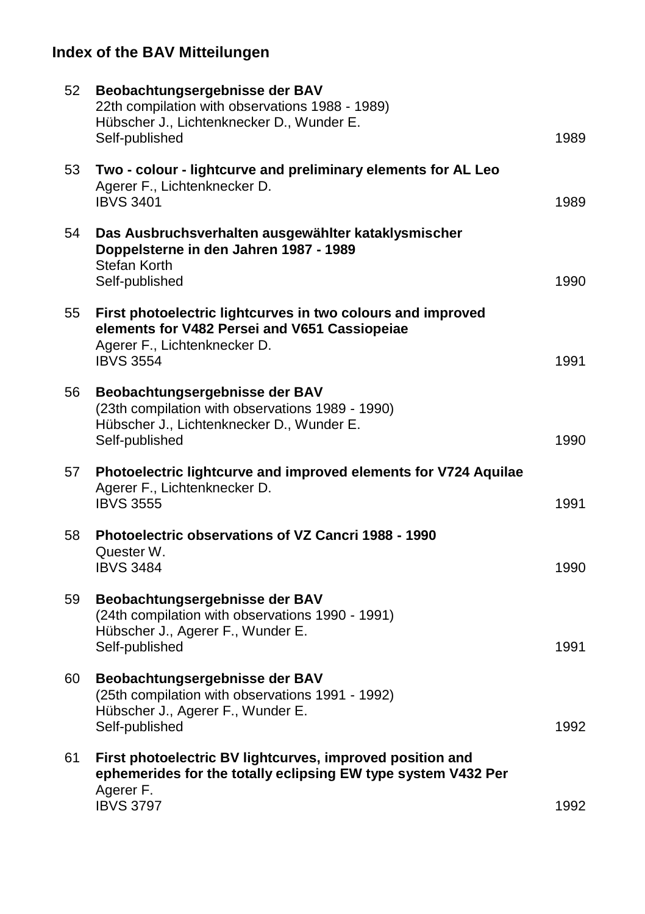| 52 | Beobachtungsergebnisse der BAV<br>22th compilation with observations 1988 - 1989)<br>Hübscher J., Lichtenknecker D., Wunder E.<br>Self-published                 | 1989 |
|----|------------------------------------------------------------------------------------------------------------------------------------------------------------------|------|
| 53 | Two - colour - lightcurve and preliminary elements for AL Leo<br>Agerer F., Lichtenknecker D.<br><b>IBVS 3401</b>                                                | 1989 |
| 54 | Das Ausbruchsverhalten ausgewählter kataklysmischer<br>Doppelsterne in den Jahren 1987 - 1989<br>Stefan Korth<br>Self-published                                  | 1990 |
| 55 | First photoelectric lightcurves in two colours and improved<br>elements for V482 Persei and V651 Cassiopeiae<br>Agerer F., Lichtenknecker D.<br><b>IBVS 3554</b> | 1991 |
| 56 | Beobachtungsergebnisse der BAV<br>(23th compilation with observations 1989 - 1990)<br>Hübscher J., Lichtenknecker D., Wunder E.<br>Self-published                | 1990 |
| 57 | Photoelectric lightcurve and improved elements for V724 Aquilae<br>Agerer F., Lichtenknecker D.<br><b>IBVS 3555</b>                                              | 1991 |
| 58 | <b>Photoelectric observations of VZ Cancri 1988 - 1990</b><br>Quester W.<br><b>IBVS 3484</b>                                                                     | 1990 |
| 59 | Beobachtungsergebnisse der BAV<br>(24th compilation with observations 1990 - 1991)<br>Hübscher J., Agerer F., Wunder E.<br>Self-published                        | 1991 |
| 60 | Beobachtungsergebnisse der BAV<br>(25th compilation with observations 1991 - 1992)<br>Hübscher J., Agerer F., Wunder E.<br>Self-published                        | 1992 |
| 61 | First photoelectric BV lightcurves, improved position and<br>ephemerides for the totally eclipsing EW type system V432 Per<br>Agerer F.                          |      |
|    | <b>IBVS 3797</b>                                                                                                                                                 | 1992 |
|    |                                                                                                                                                                  |      |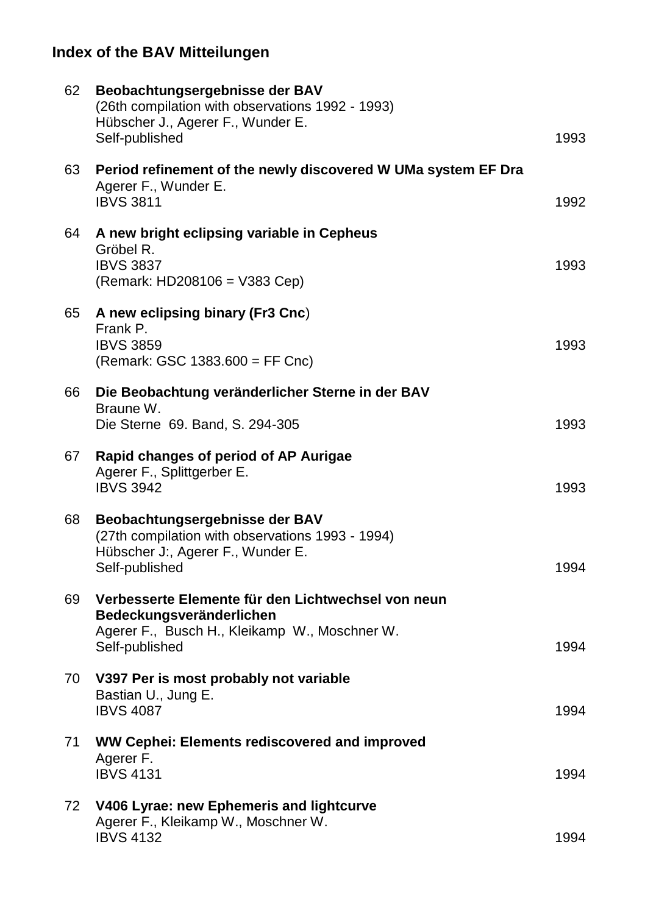| 62 | Beobachtungsergebnisse der BAV<br>(26th compilation with observations 1992 - 1993)<br>Hübscher J., Agerer F., Wunder E.<br>Self-published         | 1993 |
|----|---------------------------------------------------------------------------------------------------------------------------------------------------|------|
| 63 | Period refinement of the newly discovered W UMa system EF Dra<br>Agerer F., Wunder E.<br><b>IBVS 3811</b>                                         | 1992 |
| 64 | A new bright eclipsing variable in Cepheus<br>Gröbel R.<br><b>IBVS 3837</b><br>(Remark: HD208106 = V383 Cep)                                      | 1993 |
| 65 | A new eclipsing binary (Fr3 Cnc)<br>Frank P.<br><b>IBVS 3859</b><br>(Remark: GSC 1383.600 = FF Cnc)                                               | 1993 |
| 66 | Die Beobachtung veränderlicher Sterne in der BAV<br>Braune W.<br>Die Sterne 69. Band, S. 294-305                                                  | 1993 |
| 67 | Rapid changes of period of AP Aurigae<br>Agerer F., Splittgerber E.<br><b>IBVS 3942</b>                                                           | 1993 |
| 68 | Beobachtungsergebnisse der BAV<br>(27th compilation with observations 1993 - 1994)<br>Hübscher J:, Agerer F., Wunder E.<br>Self-published         | 1994 |
| 69 | Verbesserte Elemente für den Lichtwechsel von neun<br>Bedeckungsveränderlichen<br>Agerer F., Busch H., Kleikamp W., Moschner W.<br>Self-published | 1994 |
| 70 | V397 Per is most probably not variable<br>Bastian U., Jung E.<br><b>IBVS 4087</b>                                                                 | 1994 |
| 71 | WW Cephei: Elements rediscovered and improved<br>Agerer F.<br><b>IBVS 4131</b>                                                                    | 1994 |
| 72 | V406 Lyrae: new Ephemeris and lightcurve<br>Agerer F., Kleikamp W., Moschner W.<br><b>IBVS 4132</b>                                               | 1994 |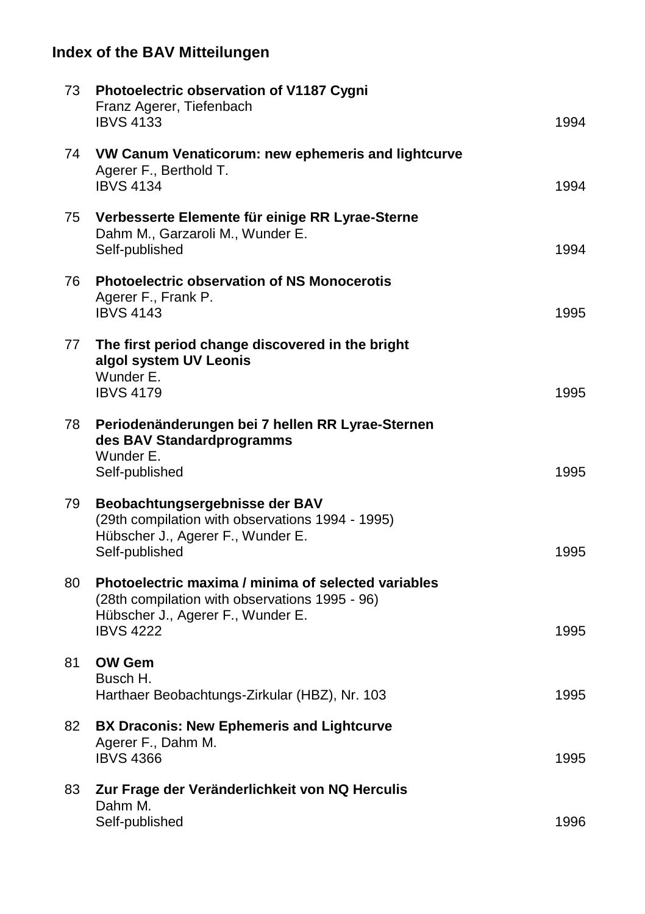| 73 | Photoelectric observation of V1187 Cygni<br>Franz Agerer, Tiefenbach<br><b>IBVS 4133</b>                                                                       | 1994 |
|----|----------------------------------------------------------------------------------------------------------------------------------------------------------------|------|
| 74 | VW Canum Venaticorum: new ephemeris and lightcurve<br>Agerer F., Berthold T.<br><b>IBVS 4134</b>                                                               | 1994 |
| 75 | Verbesserte Elemente für einige RR Lyrae-Sterne<br>Dahm M., Garzaroli M., Wunder E.<br>Self-published                                                          | 1994 |
| 76 | <b>Photoelectric observation of NS Monocerotis</b><br>Agerer F., Frank P.<br><b>IBVS 4143</b>                                                                  | 1995 |
| 77 | The first period change discovered in the bright<br>algol system UV Leonis<br>Wunder E.                                                                        |      |
|    | <b>IBVS 4179</b>                                                                                                                                               | 1995 |
| 78 | Periodenänderungen bei 7 hellen RR Lyrae-Sternen<br>des BAV Standardprogramms<br>Wunder E.<br>Self-published                                                   | 1995 |
| 79 | Beobachtungsergebnisse der BAV<br>(29th compilation with observations 1994 - 1995)<br>Hübscher J., Agerer F., Wunder E.<br>Self-published                      | 1995 |
| 80 | Photoelectric maxima / minima of selected variables<br>(28th compilation with observations 1995 - 96)<br>Hübscher J., Agerer F., Wunder E.<br><b>IBVS 4222</b> | 1995 |
| 81 | <b>OW Gem</b><br>Busch H.<br>Harthaer Beobachtungs-Zirkular (HBZ), Nr. 103                                                                                     | 1995 |
| 82 | <b>BX Draconis: New Ephemeris and Lightcurve</b><br>Agerer F., Dahm M.<br><b>IBVS 4366</b>                                                                     | 1995 |
| 83 | Zur Frage der Veränderlichkeit von NQ Herculis                                                                                                                 |      |
|    | Dahm M.<br>Self-published                                                                                                                                      | 1996 |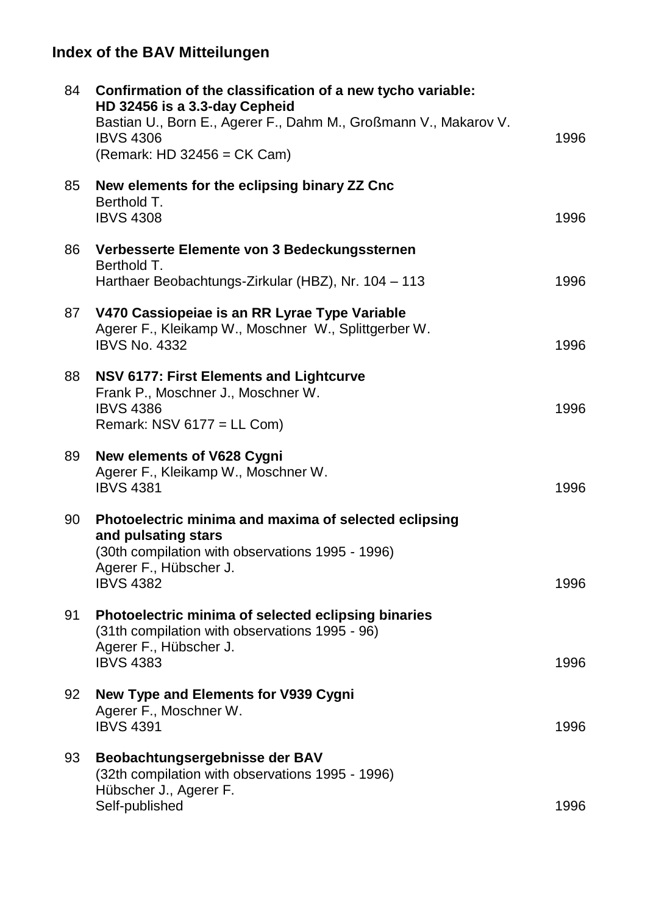| 84 | Confirmation of the classification of a new tycho variable:<br>HD 32456 is a 3.3-day Cepheid<br>Bastian U., Born E., Agerer F., Dahm M., Großmann V., Makarov V.<br><b>IBVS 4306</b><br>(Remark: HD 32456 = CK Cam) | 1996 |
|----|---------------------------------------------------------------------------------------------------------------------------------------------------------------------------------------------------------------------|------|
| 85 | New elements for the eclipsing binary ZZ Cnc<br>Berthold T.<br><b>IBVS 4308</b>                                                                                                                                     | 1996 |
| 86 | Verbesserte Elemente von 3 Bedeckungssternen<br>Berthold T.<br>Harthaer Beobachtungs-Zirkular (HBZ), Nr. 104 - 113                                                                                                  | 1996 |
| 87 | V470 Cassiopeiae is an RR Lyrae Type Variable<br>Agerer F., Kleikamp W., Moschner W., Splittgerber W.<br><b>IBVS No. 4332</b>                                                                                       | 1996 |
| 88 | <b>NSV 6177: First Elements and Lightcurve</b><br>Frank P., Moschner J., Moschner W.<br><b>IBVS 4386</b><br>Remark: NSV 6177 = LL Com)                                                                              | 1996 |
| 89 | New elements of V628 Cygni<br>Agerer F., Kleikamp W., Moschner W.<br><b>IBVS 4381</b>                                                                                                                               | 1996 |
| 90 | Photoelectric minima and maxima of selected eclipsing<br>and pulsating stars<br>(30th compilation with observations 1995 - 1996)<br>Agerer F., Hübscher J.<br><b>IBVS 4382</b>                                      | 1996 |
| 91 | Photoelectric minima of selected eclipsing binaries<br>(31th compilation with observations 1995 - 96)<br>Agerer F., Hübscher J.<br><b>IBVS 4383</b>                                                                 | 1996 |
| 92 | New Type and Elements for V939 Cygni<br>Agerer F., Moschner W.<br><b>IBVS 4391</b>                                                                                                                                  | 1996 |
| 93 | Beobachtungsergebnisse der BAV<br>(32th compilation with observations 1995 - 1996)<br>Hübscher J., Agerer F.<br>Self-published                                                                                      | 1996 |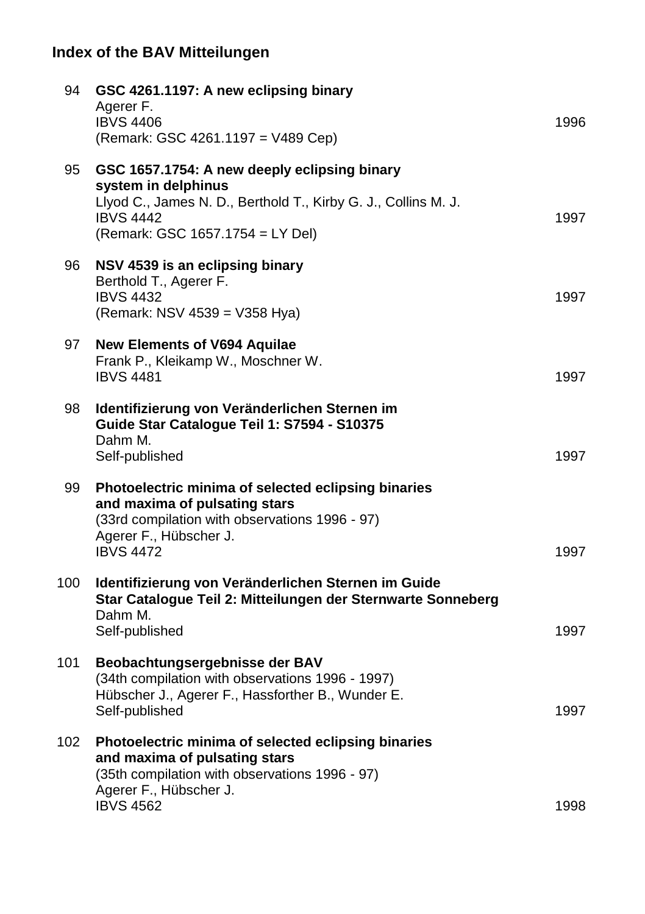| 94  | GSC 4261.1197: A new eclipsing binary<br>Agerer F.<br><b>IBVS 4406</b><br>(Remark: GSC 4261.1197 = V489 Cep)                                                                                  | 1996 |
|-----|-----------------------------------------------------------------------------------------------------------------------------------------------------------------------------------------------|------|
| 95  | GSC 1657.1754: A new deeply eclipsing binary<br>system in delphinus<br>Llyod C., James N. D., Berthold T., Kirby G. J., Collins M. J.<br><b>IBVS 4442</b><br>(Remark: GSC 1657.1754 = LY Del) | 1997 |
| 96  | NSV 4539 is an eclipsing binary<br>Berthold T., Agerer F.<br><b>IBVS 4432</b><br>(Remark: NSV 4539 = V358 Hya)                                                                                | 1997 |
| 97  | <b>New Elements of V694 Aquilae</b><br>Frank P., Kleikamp W., Moschner W.<br><b>IBVS 4481</b>                                                                                                 | 1997 |
| 98  | Identifizierung von Veränderlichen Sternen im<br>Guide Star Catalogue Teil 1: S7594 - S10375<br>Dahm M.<br>Self-published                                                                     | 1997 |
| 99  | Photoelectric minima of selected eclipsing binaries<br>and maxima of pulsating stars<br>(33rd compilation with observations 1996 - 97)<br>Agerer F., Hübscher J.<br><b>IBVS 4472</b>          | 1997 |
| 100 | Identifizierung von Veränderlichen Sternen im Guide<br>Star Catalogue Teil 2: Mitteilungen der Sternwarte Sonneberg<br>Dahm M.<br>Self-published                                              | 1997 |
| 101 | Beobachtungsergebnisse der BAV<br>(34th compilation with observations 1996 - 1997)<br>Hübscher J., Agerer F., Hassforther B., Wunder E.<br>Self-published                                     | 1997 |
| 102 | Photoelectric minima of selected eclipsing binaries<br>and maxima of pulsating stars<br>(35th compilation with observations 1996 - 97)<br>Agerer F., Hübscher J.<br><b>IBVS 4562</b>          | 1998 |
|     |                                                                                                                                                                                               |      |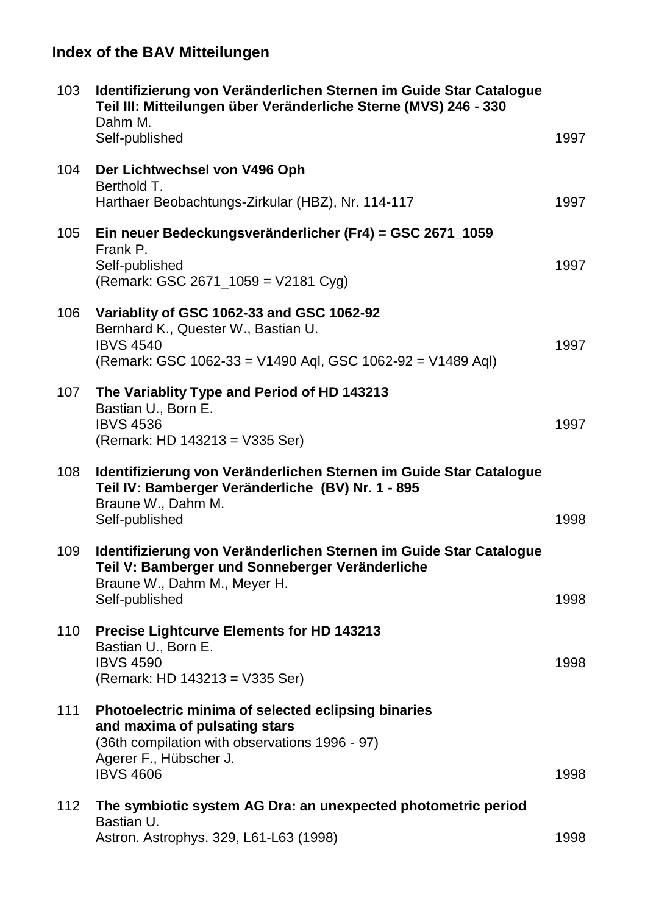| 103 | Identifizierung von Veränderlichen Sternen im Guide Star Catalogue<br>Teil III: Mitteilungen über Veränderliche Sterne (MVS) 246 - 330<br>Dahm M.                                    |      |
|-----|--------------------------------------------------------------------------------------------------------------------------------------------------------------------------------------|------|
|     | Self-published                                                                                                                                                                       | 1997 |
| 104 | Der Lichtwechsel von V496 Oph<br>Berthold T.<br>Harthaer Beobachtungs-Zirkular (HBZ), Nr. 114-117                                                                                    | 1997 |
| 105 | Ein neuer Bedeckungsveränderlicher (Fr4) = GSC 2671_1059<br>Frank P.<br>Self-published<br>(Remark: GSC 2671_1059 = V2181 Cyg)                                                        | 1997 |
| 106 | Variablity of GSC 1062-33 and GSC 1062-92<br>Bernhard K., Quester W., Bastian U.<br><b>IBVS 4540</b><br>(Remark: GSC 1062-33 = V1490 Aql, GSC 1062-92 = V1489 Aql)                   | 1997 |
| 107 | The Variablity Type and Period of HD 143213<br>Bastian U., Born E.<br><b>IBVS 4536</b><br>(Remark: HD 143213 = V335 Ser)                                                             | 1997 |
| 108 | Identifizierung von Veränderlichen Sternen im Guide Star Catalogue<br>Teil IV: Bamberger Veränderliche (BV) Nr. 1 - 895<br>Braune W., Dahm M.<br>Self-published                      | 1998 |
| 109 | Identifizierung von Veränderlichen Sternen im Guide Star Catalogue<br>Teil V: Bamberger und Sonneberger Veränderliche<br>Braune W., Dahm M., Meyer H.<br>Self-published              | 1998 |
| 110 | Precise Lightcurve Elements for HD 143213<br>Bastian U., Born E.<br><b>IBVS 4590</b><br>(Remark: HD 143213 = V335 Ser)                                                               | 1998 |
| 111 | Photoelectric minima of selected eclipsing binaries<br>and maxima of pulsating stars<br>(36th compilation with observations 1996 - 97)<br>Agerer F., Hübscher J.<br><b>IBVS 4606</b> | 1998 |
| 112 | The symbiotic system AG Dra: an unexpected photometric period<br>Bastian U.<br>Astron. Astrophys. 329, L61-L63 (1998)                                                                | 1998 |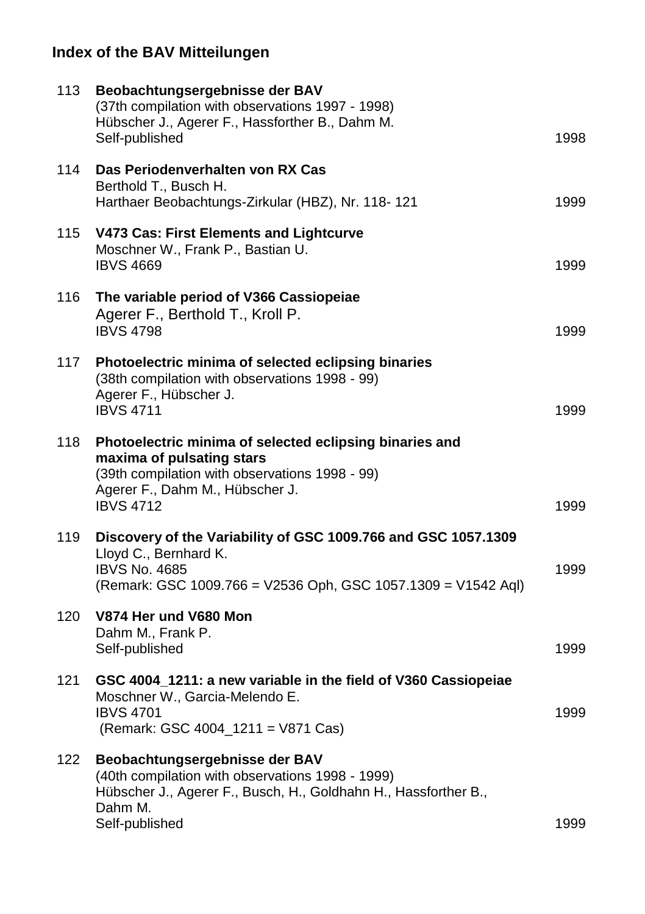| 113 | Beobachtungsergebnisse der BAV<br>(37th compilation with observations 1997 - 1998)<br>Hübscher J., Agerer F., Hassforther B., Dahm M.<br>Self-published                                       | 1998 |
|-----|-----------------------------------------------------------------------------------------------------------------------------------------------------------------------------------------------|------|
| 114 | Das Periodenverhalten von RX Cas<br>Berthold T., Busch H.<br>Harthaer Beobachtungs-Zirkular (HBZ), Nr. 118-121                                                                                | 1999 |
| 115 | V473 Cas: First Elements and Lightcurve<br>Moschner W., Frank P., Bastian U.<br><b>IBVS 4669</b>                                                                                              | 1999 |
| 116 | The variable period of V366 Cassiopeiae<br>Agerer F., Berthold T., Kroll P.<br><b>IBVS 4798</b>                                                                                               | 1999 |
| 117 | Photoelectric minima of selected eclipsing binaries<br>(38th compilation with observations 1998 - 99)<br>Agerer F., Hübscher J.<br><b>IBVS 4711</b>                                           | 1999 |
| 118 | Photoelectric minima of selected eclipsing binaries and<br>maxima of pulsating stars<br>(39th compilation with observations 1998 - 99)<br>Agerer F., Dahm M., Hübscher J.<br><b>IBVS 4712</b> | 1999 |
| 119 | Discovery of the Variability of GSC 1009.766 and GSC 1057.1309<br>Lloyd C., Bernhard K.<br><b>IBVS No. 4685</b><br>(Remark: GSC 1009.766 = V2536 Oph, GSC 1057.1309 = V1542 Aql)              | 1999 |
| 120 | V874 Her und V680 Mon<br>Dahm M., Frank P.<br>Self-published                                                                                                                                  | 1999 |
| 121 | GSC 4004_1211: a new variable in the field of V360 Cassiopeiae<br>Moschner W., Garcia-Melendo E.<br><b>IBVS 4701</b><br>(Remark: GSC 4004_1211 = V871 Cas)                                    | 1999 |
| 122 | Beobachtungsergebnisse der BAV<br>(40th compilation with observations 1998 - 1999)<br>Hübscher J., Agerer F., Busch, H., Goldhahn H., Hassforther B.,<br>Dahm M.<br>Self-published            | 1999 |
|     |                                                                                                                                                                                               |      |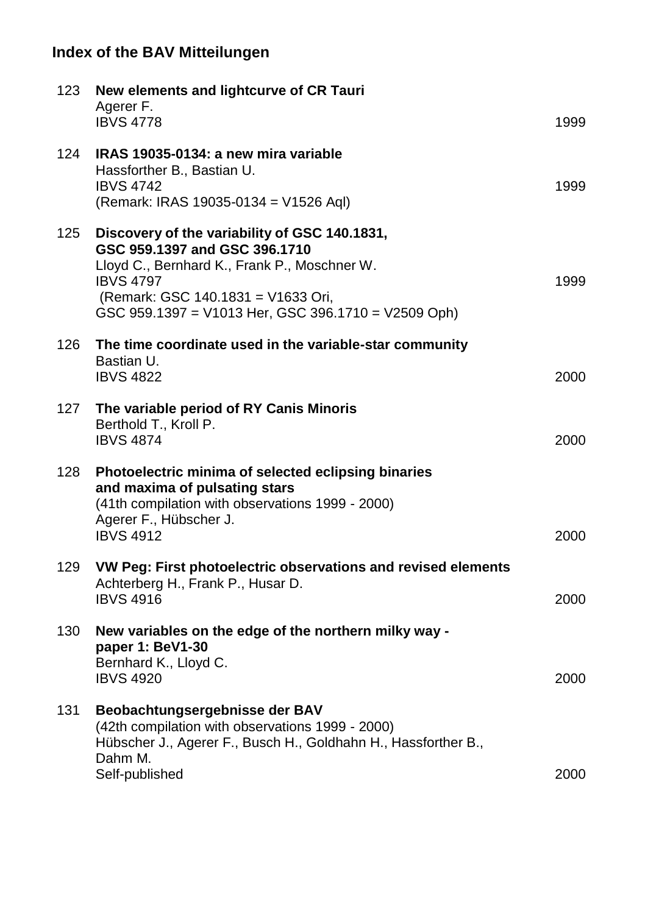| 123 | New elements and lightcurve of CR Tauri<br>Agerer F.<br><b>IBVS 4778</b>                                                                                                                                                                        | 1999 |
|-----|-------------------------------------------------------------------------------------------------------------------------------------------------------------------------------------------------------------------------------------------------|------|
| 124 | IRAS 19035-0134: a new mira variable<br>Hassforther B., Bastian U.<br><b>IBVS 4742</b><br>(Remark: IRAS 19035-0134 = V1526 Aql)                                                                                                                 | 1999 |
| 125 | Discovery of the variability of GSC 140.1831,<br>GSC 959.1397 and GSC 396.1710<br>Lloyd C., Bernhard K., Frank P., Moschner W.<br><b>IBVS 4797</b><br>(Remark: GSC 140.1831 = V1633 Ori,<br>GSC 959.1397 = V1013 Her, GSC 396.1710 = V2509 Oph) | 1999 |
| 126 | The time coordinate used in the variable-star community<br>Bastian U.<br><b>IBVS 4822</b>                                                                                                                                                       | 2000 |
| 127 | The variable period of RY Canis Minoris<br>Berthold T., Kroll P.<br><b>IBVS 4874</b>                                                                                                                                                            | 2000 |
| 128 | Photoelectric minima of selected eclipsing binaries<br>and maxima of pulsating stars<br>(41th compilation with observations 1999 - 2000)<br>Agerer F., Hübscher J.<br><b>IBVS 4912</b>                                                          | 2000 |
| 129 | VW Peg: First photoelectric observations and revised elements<br>Achterberg H., Frank P., Husar D.<br><b>IBVS 4916</b>                                                                                                                          | 2000 |
| 130 | New variables on the edge of the northern milky way -<br>paper 1: BeV1-30<br>Bernhard K., Lloyd C.<br><b>IBVS 4920</b>                                                                                                                          | 2000 |
| 131 | Beobachtungsergebnisse der BAV<br>(42th compilation with observations 1999 - 2000)<br>Hübscher J., Agerer F., Busch H., Goldhahn H., Hassforther B.,<br>Dahm M.                                                                                 |      |
|     | Self-published                                                                                                                                                                                                                                  | 2000 |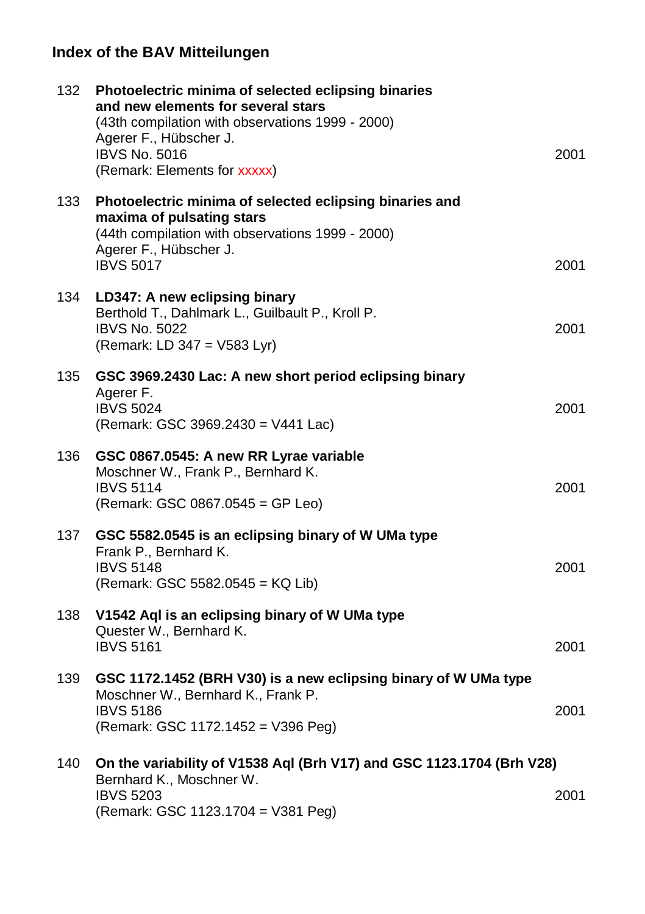| 132 | Photoelectric minima of selected eclipsing binaries<br>and new elements for several stars<br>(43th compilation with observations 1999 - 2000)<br>Agerer F., Hübscher J.<br><b>IBVS No. 5016</b><br>(Remark: Elements for xxxxx) | 2001 |
|-----|---------------------------------------------------------------------------------------------------------------------------------------------------------------------------------------------------------------------------------|------|
| 133 | Photoelectric minima of selected eclipsing binaries and<br>maxima of pulsating stars<br>(44th compilation with observations 1999 - 2000)<br>Agerer F., Hübscher J.<br><b>IBVS 5017</b>                                          | 2001 |
| 134 | LD347: A new eclipsing binary<br>Berthold T., Dahlmark L., Guilbault P., Kroll P.<br><b>IBVS No. 5022</b><br>(Remark: LD 347 = V583 Lyr)                                                                                        | 2001 |
| 135 | GSC 3969.2430 Lac: A new short period eclipsing binary<br>Agerer F.<br><b>IBVS 5024</b><br>(Remark: GSC 3969.2430 = V441 Lac)                                                                                                   | 2001 |
| 136 | GSC 0867.0545: A new RR Lyrae variable<br>Moschner W., Frank P., Bernhard K.<br><b>IBVS 5114</b><br>(Remark: GSC 0867.0545 = GP Leo)                                                                                            | 2001 |
| 137 | GSC 5582.0545 is an eclipsing binary of W UMa type<br>Frank P., Bernhard K.<br><b>IBVS 5148</b><br>(Remark: GSC 5582.0545 = KQ Lib)                                                                                             | 2001 |
| 138 | V1542 Aql is an eclipsing binary of W UMa type<br>Quester W., Bernhard K.<br><b>IBVS 5161</b>                                                                                                                                   | 2001 |
| 139 | GSC 1172.1452 (BRH V30) is a new eclipsing binary of W UMa type<br>Moschner W., Bernhard K., Frank P.<br><b>IBVS 5186</b><br>(Remark: GSC 1172.1452 = V396 Peg)                                                                 | 2001 |
| 140 | On the variability of V1538 Aql (Brh V17) and GSC 1123.1704 (Brh V28)<br>Bernhard K., Moschner W.<br><b>IBVS 5203</b><br>(Remark: GSC 1123.1704 = V381 Peg)                                                                     | 2001 |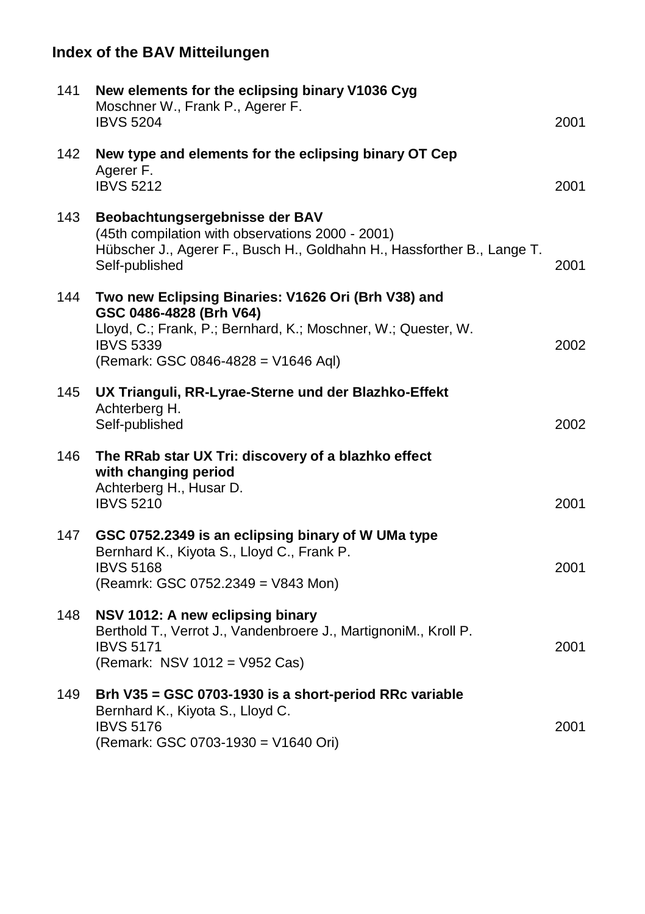| 141 | New elements for the eclipsing binary V1036 Cyg<br>Moschner W., Frank P., Agerer F.<br><b>IBVS 5204</b>                                                                                                    | 2001 |
|-----|------------------------------------------------------------------------------------------------------------------------------------------------------------------------------------------------------------|------|
| 142 | New type and elements for the eclipsing binary OT Cep<br>Agerer F.<br><b>IBVS 5212</b>                                                                                                                     | 2001 |
| 143 | Beobachtungsergebnisse der BAV<br>(45th compilation with observations 2000 - 2001)<br>Hübscher J., Agerer F., Busch H., Goldhahn H., Hassforther B., Lange T.<br>Self-published                            | 2001 |
| 144 | Two new Eclipsing Binaries: V1626 Ori (Brh V38) and<br>GSC 0486-4828 (Brh V64)<br>Lloyd, C.; Frank, P.; Bernhard, K.; Moschner, W.; Quester, W.<br><b>IBVS 5339</b><br>(Remark: GSC 0846-4828 = V1646 Aql) | 2002 |
| 145 | UX Trianguli, RR-Lyrae-Sterne und der Blazhko-Effekt<br>Achterberg H.<br>Self-published                                                                                                                    | 2002 |
| 146 | The RRab star UX Tri: discovery of a blazhko effect<br>with changing period<br>Achterberg H., Husar D.<br><b>IBVS 5210</b>                                                                                 | 2001 |
| 147 | GSC 0752.2349 is an eclipsing binary of W UMa type<br>Bernhard K., Kiyota S., Lloyd C., Frank P.<br><b>IBVS 5168</b><br>(Reamrk: GSC 0752.2349 = V843 Mon)                                                 | 2001 |
| 148 | NSV 1012: A new eclipsing binary<br>Berthold T., Verrot J., Vandenbroere J., MartignoniM., Kroll P.<br><b>IBVS 5171</b><br>(Remark: NSV 1012 = V952 Cas)                                                   | 2001 |
| 149 | Brh V35 = GSC 0703-1930 is a short-period RRc variable<br>Bernhard K., Kiyota S., Lloyd C.<br><b>IBVS 5176</b><br>(Remark: GSC 0703-1930 = V1640 Ori)                                                      | 2001 |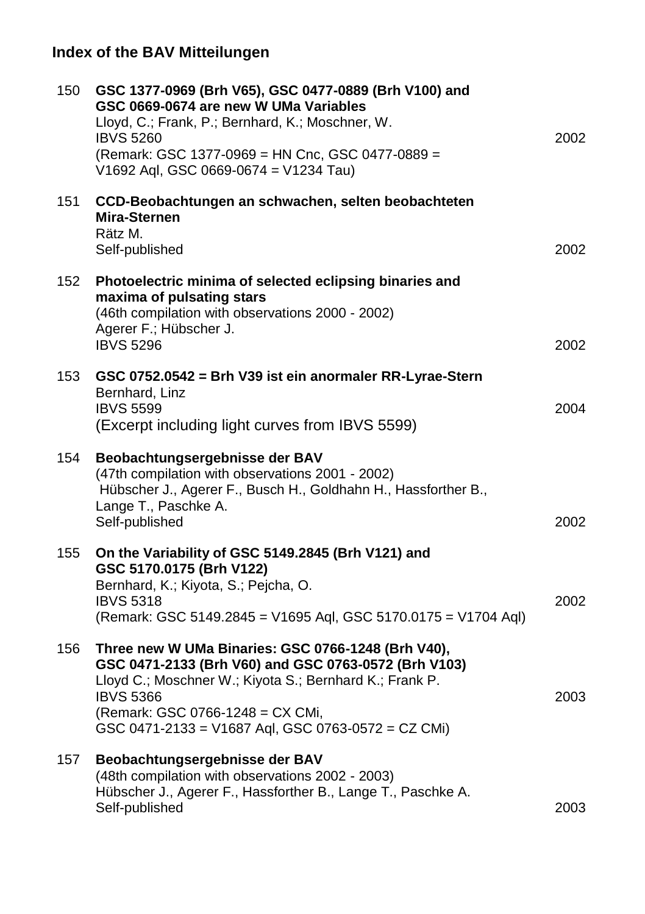| 150 | GSC 1377-0969 (Brh V65), GSC 0477-0889 (Brh V100) and<br>GSC 0669-0674 are new W UMa Variables<br>Lloyd, C.; Frank, P.; Bernhard, K.; Moschner, W.<br><b>IBVS 5260</b><br>(Remark: GSC 1377-0969 = HN Cnc, GSC 0477-0889 =<br>V1692 Aql, GSC 0669-0674 = V1234 Tau)                 | 2002 |
|-----|-------------------------------------------------------------------------------------------------------------------------------------------------------------------------------------------------------------------------------------------------------------------------------------|------|
| 151 | CCD-Beobachtungen an schwachen, selten beobachteten<br>Mira-Sternen<br>Rätz M.<br>Self-published                                                                                                                                                                                    | 2002 |
| 152 | Photoelectric minima of selected eclipsing binaries and<br>maxima of pulsating stars<br>(46th compilation with observations 2000 - 2002)<br>Agerer F.; Hübscher J.<br><b>IBVS 5296</b>                                                                                              | 2002 |
| 153 | GSC 0752.0542 = Brh V39 ist ein anormaler RR-Lyrae-Stern<br>Bernhard, Linz<br><b>IBVS 5599</b><br>(Excerpt including light curves from IBVS 5599)                                                                                                                                   | 2004 |
| 154 | Beobachtungsergebnisse der BAV<br>(47th compilation with observations 2001 - 2002)<br>Hübscher J., Agerer F., Busch H., Goldhahn H., Hassforther B.,<br>Lange T., Paschke A.<br>Self-published                                                                                      | 2002 |
| 155 | On the Variability of GSC 5149.2845 (Brh V121) and<br>GSC 5170.0175 (Brh V122)<br>Bernhard, K.; Kiyota, S.; Pejcha, O.<br><b>IBVS 5318</b><br>(Remark: GSC 5149.2845 = V1695 Aql, GSC 5170.0175 = V1704 Aql)                                                                        | 2002 |
| 156 | Three new W UMa Binaries: GSC 0766-1248 (Brh V40),<br>GSC 0471-2133 (Brh V60) and GSC 0763-0572 (Brh V103)<br>Lloyd C.; Moschner W.; Kiyota S.; Bernhard K.; Frank P.<br><b>IBVS 5366</b><br>(Remark: GSC 0766-1248 = CX CMi,<br>GSC 0471-2133 = V1687 Aql, GSC 0763-0572 = CZ CMi) | 2003 |
| 157 | Beobachtungsergebnisse der BAV<br>(48th compilation with observations 2002 - 2003)<br>Hübscher J., Agerer F., Hassforther B., Lange T., Paschke A.<br>Self-published                                                                                                                | 2003 |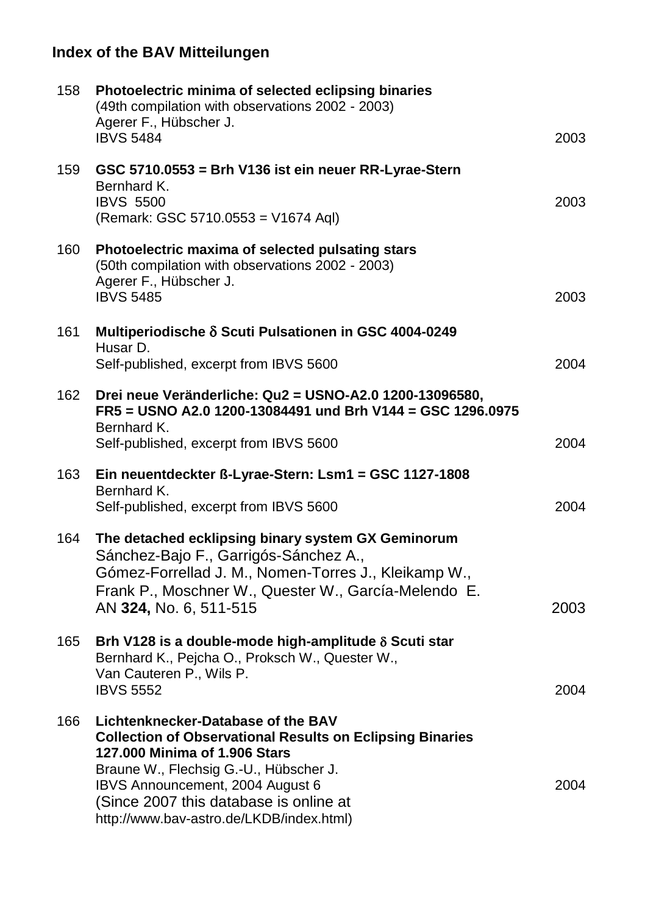| 158 | Photoelectric minima of selected eclipsing binaries<br>(49th compilation with observations 2002 - 2003)<br>Agerer F., Hübscher J.<br><b>IBVS 5484</b>                                                                                                                                                       | 2003 |
|-----|-------------------------------------------------------------------------------------------------------------------------------------------------------------------------------------------------------------------------------------------------------------------------------------------------------------|------|
| 159 | GSC 5710.0553 = Brh V136 ist ein neuer RR-Lyrae-Stern<br>Bernhard K.<br><b>IBVS 5500</b><br>(Remark: GSC 5710.0553 = V1674 Aql)                                                                                                                                                                             | 2003 |
| 160 | Photoelectric maxima of selected pulsating stars<br>(50th compilation with observations 2002 - 2003)<br>Agerer F., Hübscher J.<br><b>IBVS 5485</b>                                                                                                                                                          | 2003 |
| 161 | Multiperiodische δ Scuti Pulsationen in GSC 4004-0249                                                                                                                                                                                                                                                       |      |
|     | Husar D.<br>Self-published, excerpt from IBVS 5600                                                                                                                                                                                                                                                          | 2004 |
| 162 | Drei neue Veränderliche: Qu2 = USNO-A2.0 1200-13096580,<br>FR5 = USNO A2.0 1200-13084491 und Brh V144 = GSC 1296.0975<br>Bernhard K.                                                                                                                                                                        |      |
|     | Self-published, excerpt from IBVS 5600                                                                                                                                                                                                                                                                      | 2004 |
| 163 | Ein neuentdeckter ß-Lyrae-Stern: Lsm1 = GSC 1127-1808<br>Bernhard K.<br>Self-published, excerpt from IBVS 5600                                                                                                                                                                                              | 2004 |
| 164 | The detached ecklipsing binary system GX Geminorum<br>Sánchez-Bajo F., Garrigós-Sánchez A.,<br>Gómez-Forrellad J. M., Nomen-Torres J., Kleikamp W.,<br>Frank P., Moschner W., Quester W., García-Melendo E.<br>AN 324, No. 6, 511-515                                                                       | 2003 |
| 165 | Brh V128 is a double-mode high-amplitude δ Scuti star<br>Bernhard K., Pejcha O., Proksch W., Quester W.,<br>Van Cauteren P., Wils P.<br><b>IBVS 5552</b>                                                                                                                                                    | 2004 |
| 166 | Lichtenknecker-Database of the BAV<br><b>Collection of Observational Results on Eclipsing Binaries</b><br>127,000 Minima of 1.906 Stars<br>Braune W., Flechsig G.-U., Hübscher J.<br>IBVS Announcement, 2004 August 6<br>(Since 2007 this database is online at<br>http://www.bav-astro.de/LKDB/index.html) | 2004 |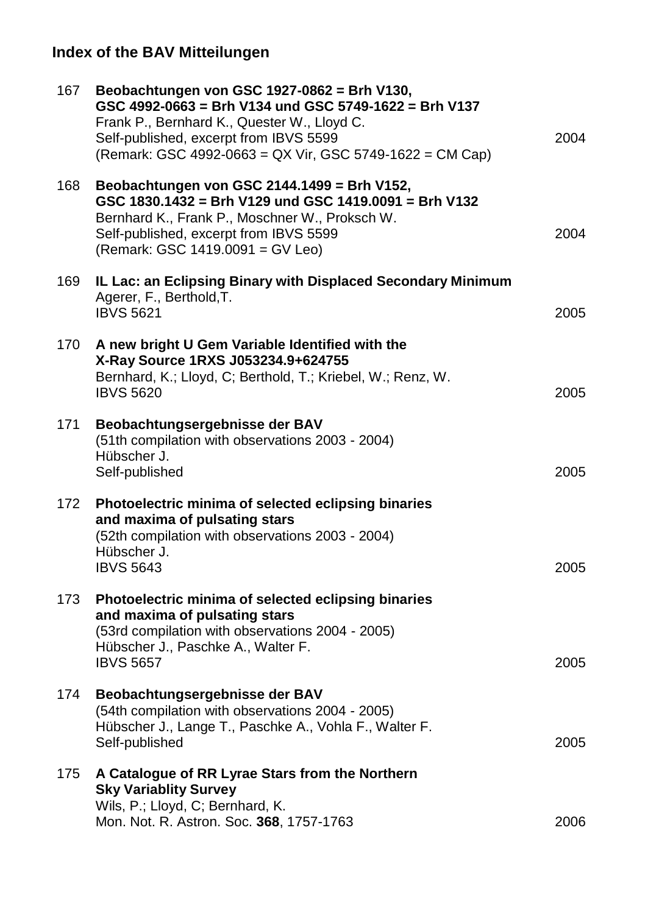| 167 | Beobachtungen von GSC 1927-0862 = Brh V130,<br>GSC 4992-0663 = Brh V134 und GSC 5749-1622 = Brh V137<br>Frank P., Bernhard K., Quester W., Lloyd C.<br>Self-published, excerpt from IBVS 5599<br>(Remark: GSC 4992-0663 = QX Vir, GSC 5749-1622 = CM Cap) | 2004 |
|-----|-----------------------------------------------------------------------------------------------------------------------------------------------------------------------------------------------------------------------------------------------------------|------|
| 168 | Beobachtungen von GSC 2144.1499 = Brh V152,<br>GSC 1830.1432 = Brh V129 und GSC 1419.0091 = Brh V132<br>Bernhard K., Frank P., Moschner W., Proksch W.<br>Self-published, excerpt from IBVS 5599<br>(Remark: GSC 1419.0091 = GV Leo)                      | 2004 |
| 169 | IL Lac: an Eclipsing Binary with Displaced Secondary Minimum<br>Agerer, F., Berthold, T.<br><b>IBVS 5621</b>                                                                                                                                              | 2005 |
| 170 | A new bright U Gem Variable Identified with the<br>X-Ray Source 1RXS J053234.9+624755<br>Bernhard, K.; Lloyd, C; Berthold, T.; Kriebel, W.; Renz, W.<br><b>IBVS 5620</b>                                                                                  | 2005 |
| 171 | Beobachtungsergebnisse der BAV<br>(51th compilation with observations 2003 - 2004)<br>Hübscher J.<br>Self-published                                                                                                                                       | 2005 |
| 172 | Photoelectric minima of selected eclipsing binaries<br>and maxima of pulsating stars<br>(52th compilation with observations 2003 - 2004)<br>Hübscher J.<br><b>IBVS 5643</b>                                                                               | 2005 |
| 173 | Photoelectric minima of selected eclipsing binaries<br>and maxima of pulsating stars<br>(53rd compilation with observations 2004 - 2005)<br>Hübscher J., Paschke A., Walter F.<br><b>IBVS 5657</b>                                                        | 2005 |
| 174 | Beobachtungsergebnisse der BAV<br>(54th compilation with observations 2004 - 2005)<br>Hübscher J., Lange T., Paschke A., Vohla F., Walter F.<br>Self-published                                                                                            | 2005 |
| 175 | A Catalogue of RR Lyrae Stars from the Northern<br><b>Sky Variablity Survey</b><br>Wils, P.; Lloyd, C; Bernhard, K.<br>Mon. Not. R. Astron. Soc. 368, 1757-1763                                                                                           | 2006 |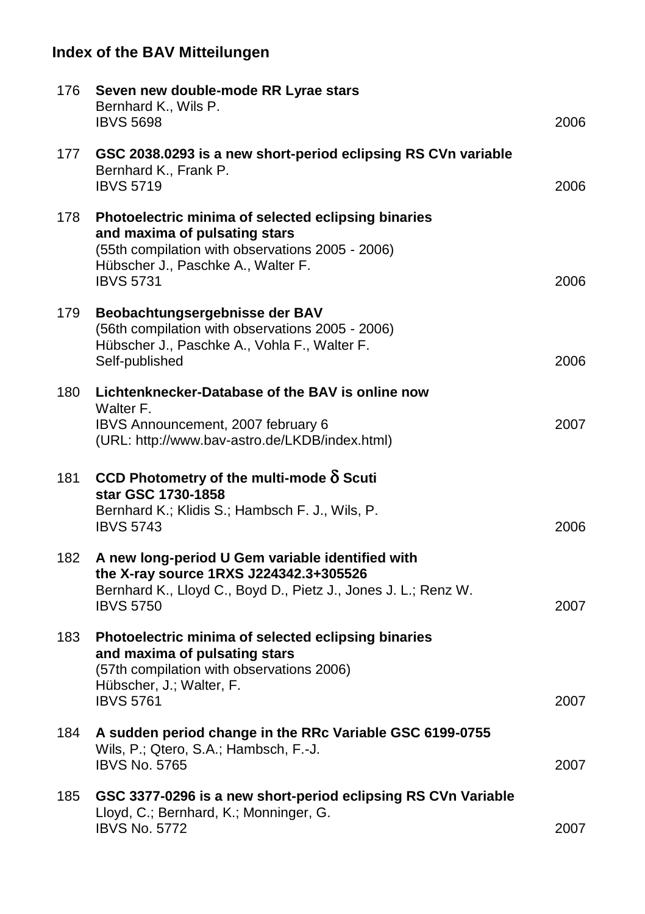| 176  | Seven new double-mode RR Lyrae stars<br>Bernhard K., Wils P.<br><b>IBVS 5698</b>                                                                                                                   | 2006 |
|------|----------------------------------------------------------------------------------------------------------------------------------------------------------------------------------------------------|------|
| 177  | GSC 2038.0293 is a new short-period eclipsing RS CVn variable<br>Bernhard K., Frank P.<br><b>IBVS 5719</b>                                                                                         | 2006 |
| 178  | Photoelectric minima of selected eclipsing binaries<br>and maxima of pulsating stars<br>(55th compilation with observations 2005 - 2006)<br>Hübscher J., Paschke A., Walter F.<br><b>IBVS 5731</b> | 2006 |
| 179. | Beobachtungsergebnisse der BAV<br>(56th compilation with observations 2005 - 2006)<br>Hübscher J., Paschke A., Vohla F., Walter F.<br>Self-published                                               | 2006 |
| 180  | Lichtenknecker-Database of the BAV is online now<br>Walter F.<br>IBVS Announcement, 2007 february 6<br>(URL: http://www.bav-astro.de/LKDB/index.html)                                              | 2007 |
| 181  | CCD Photometry of the multi-mode $\delta$ Scuti<br>star GSC 1730-1858<br>Bernhard K.; Klidis S.; Hambsch F. J., Wils, P.<br><b>IBVS 5743</b>                                                       | 2006 |
| 182  | A new long-period U Gem variable identified with<br>the X-ray source 1RXS J224342.3+305526<br>Bernhard K., Lloyd C., Boyd D., Pietz J., Jones J. L.; Renz W.<br><b>IBVS 5750</b>                   | 2007 |
| 183  | Photoelectric minima of selected eclipsing binaries<br>and maxima of pulsating stars<br>(57th compilation with observations 2006)<br>Hübscher, J.; Walter, F.<br><b>IBVS 5761</b>                  | 2007 |
| 184  | A sudden period change in the RRc Variable GSC 6199-0755<br>Wils, P.; Qtero, S.A.; Hambsch, F.-J.<br><b>IBVS No. 5765</b>                                                                          | 2007 |
| 185  | GSC 3377-0296 is a new short-period eclipsing RS CVn Variable<br>Lloyd, C.; Bernhard, K.; Monninger, G.<br><b>IBVS No. 5772</b>                                                                    | 2007 |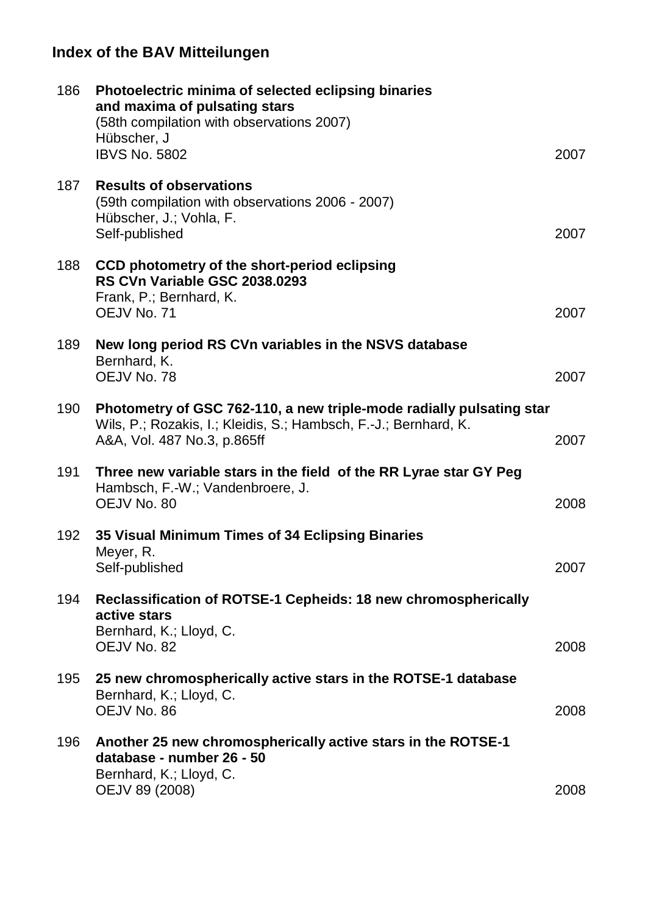| 186 | Photoelectric minima of selected eclipsing binaries<br>and maxima of pulsating stars<br>(58th compilation with observations 2007)<br>Hübscher, J<br><b>IBVS No. 5802</b> | 2007 |
|-----|--------------------------------------------------------------------------------------------------------------------------------------------------------------------------|------|
| 187 | <b>Results of observations</b><br>(59th compilation with observations 2006 - 2007)<br>Hübscher, J.; Vohla, F.<br>Self-published                                          | 2007 |
| 188 | CCD photometry of the short-period eclipsing<br>RS CVn Variable GSC 2038.0293<br>Frank, P.; Bernhard, K.<br>OEJV No. 71                                                  | 2007 |
| 189 | New long period RS CVn variables in the NSVS database<br>Bernhard, K.<br>OEJV No. 78                                                                                     | 2007 |
| 190 | Photometry of GSC 762-110, a new triple-mode radially pulsating star<br>Wils, P.; Rozakis, I.; Kleidis, S.; Hambsch, F.-J.; Bernhard, K.<br>A&A, Vol. 487 No.3, p.865ff  | 2007 |
| 191 | Three new variable stars in the field of the RR Lyrae star GY Peg<br>Hambsch, F.-W.; Vandenbroere, J.<br>OEJV No. 80                                                     | 2008 |
| 192 | 35 Visual Minimum Times of 34 Eclipsing Binaries<br>Meyer, R.<br>Self-published                                                                                          | 2007 |
| 194 | Reclassification of ROTSE-1 Cepheids: 18 new chromospherically<br>active stars<br>Bernhard, K.; Lloyd, C.<br>OEJV No. 82                                                 | 2008 |
| 195 | 25 new chromospherically active stars in the ROTSE-1 database<br>Bernhard, K.; Lloyd, C.<br>OEJV No. 86                                                                  | 2008 |
| 196 | Another 25 new chromospherically active stars in the ROTSE-1<br>database - number 26 - 50<br>Bernhard, K.; Lloyd, C.<br>OEJV 89 (2008)                                   | 2008 |
|     |                                                                                                                                                                          |      |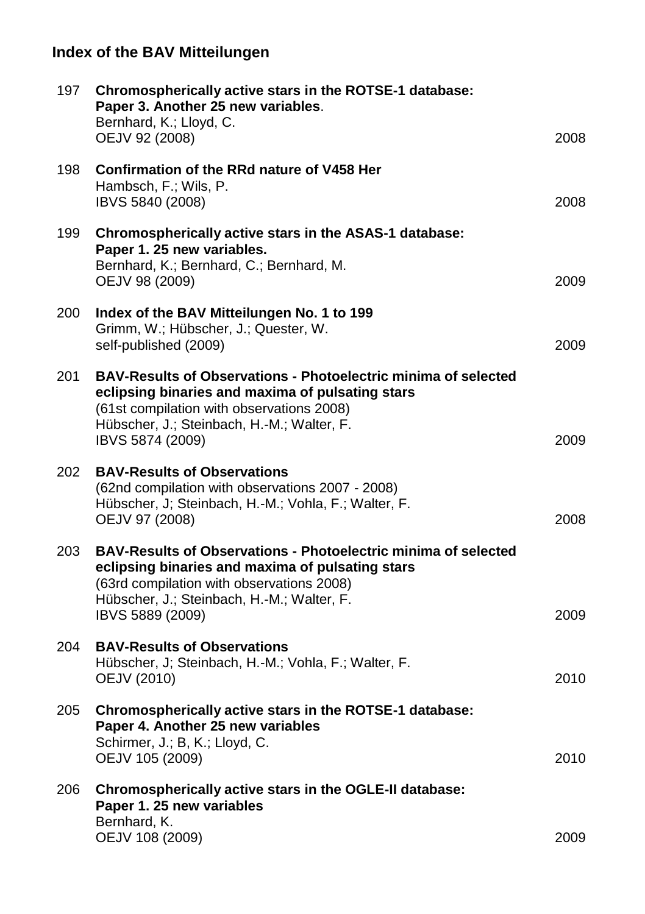| 197 | Chromospherically active stars in the ROTSE-1 database:<br>Paper 3. Another 25 new variables.<br>Bernhard, K.; Lloyd, C.<br>OEJV 92 (2008)                                                                                               | 2008 |
|-----|------------------------------------------------------------------------------------------------------------------------------------------------------------------------------------------------------------------------------------------|------|
| 198 | Confirmation of the RRd nature of V458 Her<br>Hambsch, F.; Wils, P.<br>IBVS 5840 (2008)                                                                                                                                                  | 2008 |
| 199 | Chromospherically active stars in the ASAS-1 database:<br>Paper 1. 25 new variables.<br>Bernhard, K.; Bernhard, C.; Bernhard, M.<br>OEJV 98 (2009)                                                                                       | 2009 |
| 200 | Index of the BAV Mitteilungen No. 1 to 199<br>Grimm, W.; Hübscher, J.; Quester, W.<br>self-published (2009)                                                                                                                              | 2009 |
| 201 | <b>BAV-Results of Observations - Photoelectric minima of selected</b><br>eclipsing binaries and maxima of pulsating stars<br>(61st compilation with observations 2008)<br>Hübscher, J.; Steinbach, H.-M.; Walter, F.<br>IBVS 5874 (2009) | 2009 |
| 202 | <b>BAV-Results of Observations</b><br>(62nd compilation with observations 2007 - 2008)<br>Hübscher, J; Steinbach, H.-M.; Vohla, F.; Walter, F.<br>OEJV 97 (2008)                                                                         | 2008 |
| 203 | <b>BAV-Results of Observations - Photoelectric minima of selected</b><br>eclipsing binaries and maxima of pulsating stars<br>(63rd compilation with observations 2008)<br>Hübscher, J.; Steinbach, H.-M.; Walter, F.<br>IBVS 5889 (2009) | 2009 |
| 204 | <b>BAV-Results of Observations</b><br>Hübscher, J; Steinbach, H.-M.; Vohla, F.; Walter, F.<br><b>OEJV (2010)</b>                                                                                                                         | 2010 |
| 205 | Chromospherically active stars in the ROTSE-1 database:<br>Paper 4. Another 25 new variables<br>Schirmer, J.; B, K.; Lloyd, C.<br>OEJV 105 (2009)                                                                                        | 2010 |
| 206 | Chromospherically active stars in the OGLE-II database:<br>Paper 1.25 new variables<br>Bernhard, K.<br>OEJV 108 (2009)                                                                                                                   | 2009 |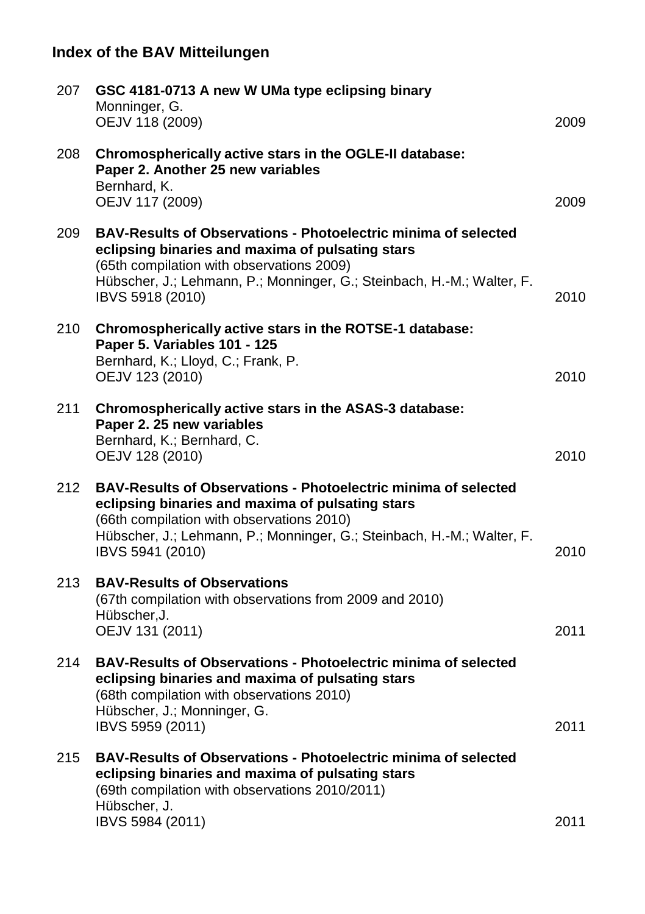| 207 | GSC 4181-0713 A new W UMa type eclipsing binary<br>Monninger, G.<br>OEJV 118 (2009)                                                                                                                                                                                  | 2009 |
|-----|----------------------------------------------------------------------------------------------------------------------------------------------------------------------------------------------------------------------------------------------------------------------|------|
| 208 | Chromospherically active stars in the OGLE-II database:<br>Paper 2. Another 25 new variables<br>Bernhard, K.<br>OEJV 117 (2009)                                                                                                                                      | 2009 |
| 209 | <b>BAV-Results of Observations - Photoelectric minima of selected</b><br>eclipsing binaries and maxima of pulsating stars<br>(65th compilation with observations 2009)<br>Hübscher, J.; Lehmann, P.; Monninger, G.; Steinbach, H.-M.; Walter, F.<br>IBVS 5918 (2010) | 2010 |
| 210 | Chromospherically active stars in the ROTSE-1 database:<br>Paper 5. Variables 101 - 125<br>Bernhard, K.; Lloyd, C.; Frank, P.<br>OEJV 123 (2010)                                                                                                                     | 2010 |
| 211 | Chromospherically active stars in the ASAS-3 database:<br>Paper 2. 25 new variables<br>Bernhard, K.; Bernhard, C.<br>OEJV 128 (2010)                                                                                                                                 | 2010 |
| 212 | <b>BAV-Results of Observations - Photoelectric minima of selected</b><br>eclipsing binaries and maxima of pulsating stars<br>(66th compilation with observations 2010)<br>Hübscher, J.; Lehmann, P.; Monninger, G.; Steinbach, H.-M.; Walter, F.<br>IBVS 5941 (2010) | 2010 |
| 213 | <b>BAV-Results of Observations</b><br>(67th compilation with observations from 2009 and 2010)<br>Hübscher, J.<br>OEJV 131 (2011)                                                                                                                                     | 2011 |
| 214 | BAV-Results of Observations - Photoelectric minima of selected<br>eclipsing binaries and maxima of pulsating stars<br>(68th compilation with observations 2010)<br>Hübscher, J.; Monninger, G.<br>IBVS 5959 (2011)                                                   | 2011 |
| 215 | <b>BAV-Results of Observations - Photoelectric minima of selected</b><br>eclipsing binaries and maxima of pulsating stars<br>(69th compilation with observations 2010/2011)<br>Hübscher, J.                                                                          |      |
|     | IBVS 5984 (2011)                                                                                                                                                                                                                                                     | 2011 |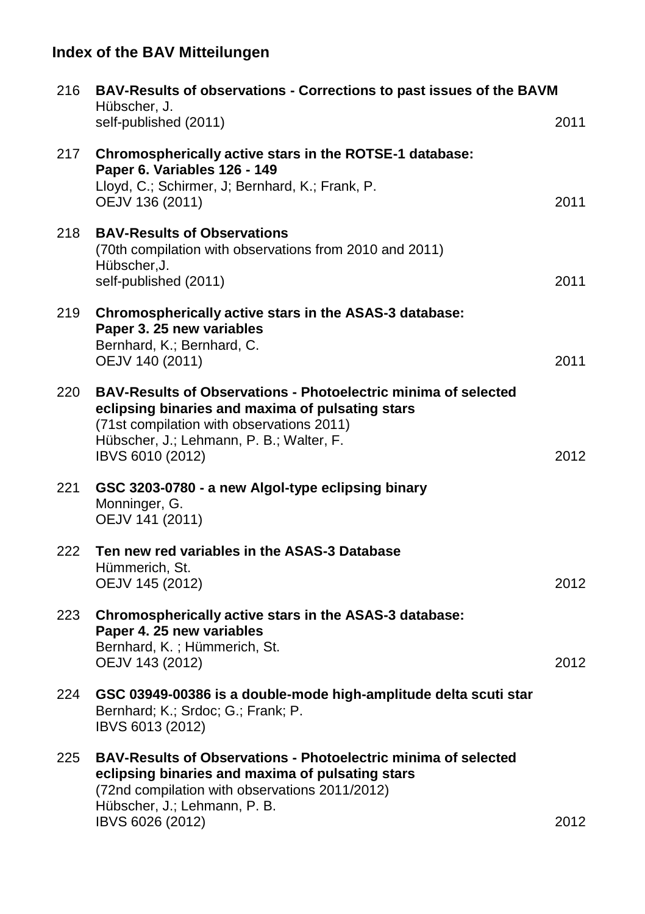| 216 | BAV-Results of observations - Corrections to past issues of the BAVM<br>Hübscher, J.                                                                                                                                                   |      |
|-----|----------------------------------------------------------------------------------------------------------------------------------------------------------------------------------------------------------------------------------------|------|
|     | self-published (2011)                                                                                                                                                                                                                  | 2011 |
| 217 | Chromospherically active stars in the ROTSE-1 database:<br>Paper 6. Variables 126 - 149<br>Lloyd, C.; Schirmer, J; Bernhard, K.; Frank, P.<br>OEJV 136 (2011)                                                                          | 2011 |
| 218 | <b>BAV-Results of Observations</b><br>(70th compilation with observations from 2010 and 2011)<br>Hübscher.J.<br>self-published (2011)                                                                                                  | 2011 |
| 219 | Chromospherically active stars in the ASAS-3 database:<br>Paper 3. 25 new variables<br>Bernhard, K.; Bernhard, C.<br>OEJV 140 (2011)                                                                                                   | 2011 |
| 220 | <b>BAV-Results of Observations - Photoelectric minima of selected</b><br>eclipsing binaries and maxima of pulsating stars<br>(71st compilation with observations 2011)<br>Hübscher, J.; Lehmann, P. B.; Walter, F.<br>IBVS 6010 (2012) | 2012 |
| 221 | GSC 3203-0780 - a new Algol-type eclipsing binary<br>Monninger, G.<br>OEJV 141 (2011)                                                                                                                                                  |      |
| 222 | Ten new red variables in the ASAS-3 Database<br>Hümmerich, St.<br>OEJV 145 (2012)                                                                                                                                                      | 2012 |
| 223 | Chromospherically active stars in the ASAS-3 database:<br>Paper 4. 25 new variables<br>Bernhard, K.; Hümmerich, St.<br>OEJV 143 (2012)                                                                                                 | 2012 |
| 224 | GSC 03949-00386 is a double-mode high-amplitude delta scuti star<br>Bernhard; K.; Srdoc; G.; Frank; P.<br>IBVS 6013 (2012)                                                                                                             |      |
| 225 | BAV-Results of Observations - Photoelectric minima of selected<br>eclipsing binaries and maxima of pulsating stars<br>(72nd compilation with observations 2011/2012)<br>Hübscher, J.; Lehmann, P. B.                                   |      |
|     | IBVS 6026 (2012)                                                                                                                                                                                                                       | 2012 |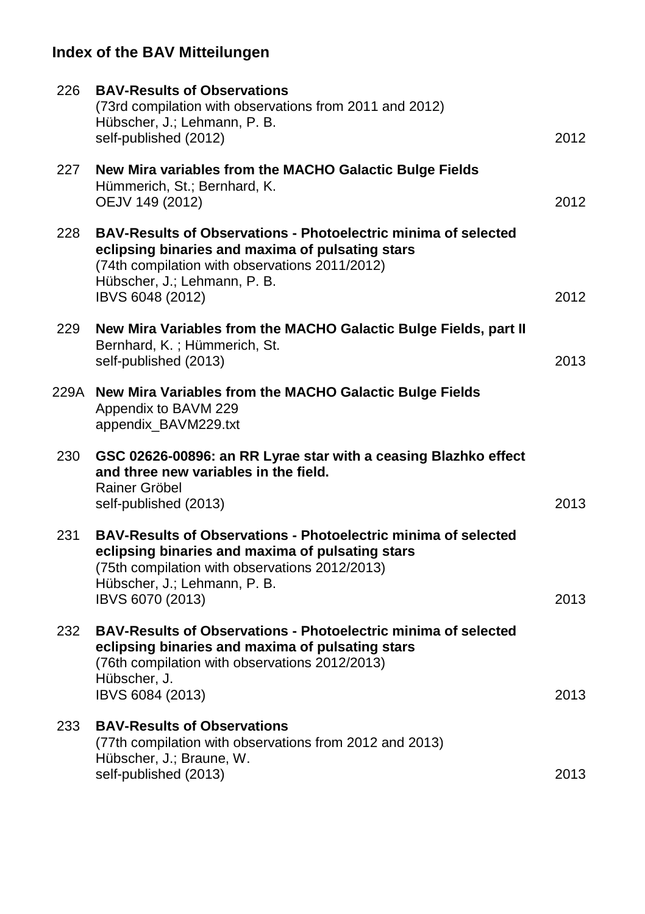| 226 | <b>BAV-Results of Observations</b><br>(73rd compilation with observations from 2011 and 2012)<br>Hübscher, J.; Lehmann, P. B.<br>self-published (2012)                                                                          | 2012 |
|-----|---------------------------------------------------------------------------------------------------------------------------------------------------------------------------------------------------------------------------------|------|
| 227 | New Mira variables from the MACHO Galactic Bulge Fields<br>Hümmerich, St.; Bernhard, K.<br>OEJV 149 (2012)                                                                                                                      | 2012 |
| 228 | <b>BAV-Results of Observations - Photoelectric minima of selected</b><br>eclipsing binaries and maxima of pulsating stars<br>(74th compilation with observations 2011/2012)<br>Hübscher, J.; Lehmann, P. B.<br>IBVS 6048 (2012) | 2012 |
| 229 | New Mira Variables from the MACHO Galactic Bulge Fields, part II<br>Bernhard, K.; Hümmerich, St.<br>self-published (2013)                                                                                                       | 2013 |
|     | 229A New Mira Variables from the MACHO Galactic Bulge Fields<br>Appendix to BAVM 229<br>appendix_BAVM229.txt                                                                                                                    |      |
| 230 | GSC 02626-00896: an RR Lyrae star with a ceasing Blazhko effect<br>and three new variables in the field.<br>Rainer Gröbel<br>self-published (2013)                                                                              | 2013 |
| 231 | <b>BAV-Results of Observations - Photoelectric minima of selected</b><br>eclipsing binaries and maxima of pulsating stars<br>(75th compilation with observations 2012/2013)<br>Hübscher, J.; Lehmann, P. B.<br>IBVS 6070 (2013) | 2013 |
| 232 | <b>BAV-Results of Observations - Photoelectric minima of selected</b><br>eclipsing binaries and maxima of pulsating stars<br>(76th compilation with observations 2012/2013)<br>Hübscher, J.<br>IBVS 6084 (2013)                 | 2013 |
| 233 | <b>BAV-Results of Observations</b><br>(77th compilation with observations from 2012 and 2013)<br>Hübscher, J.; Braune, W.<br>self-published (2013)                                                                              | 2013 |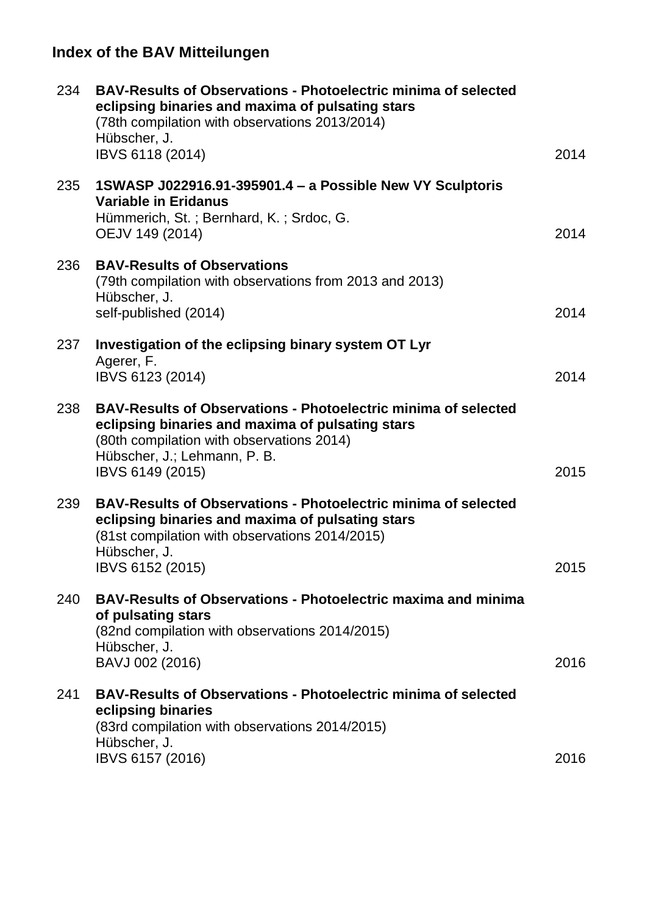| 234 | <b>BAV-Results of Observations - Photoelectric minima of selected</b><br>eclipsing binaries and maxima of pulsating stars<br>(78th compilation with observations 2013/2014)<br>Hübscher, J.<br>IBVS 6118 (2014)            | 2014 |
|-----|----------------------------------------------------------------------------------------------------------------------------------------------------------------------------------------------------------------------------|------|
| 235 | 1SWASP J022916.91-395901.4 - a Possible New VY Sculptoris<br><b>Variable in Eridanus</b><br>Hümmerich, St.; Bernhard, K.; Srdoc, G.<br>OEJV 149 (2014)                                                                     | 2014 |
| 236 | <b>BAV-Results of Observations</b><br>(79th compilation with observations from 2013 and 2013)<br>Hübscher, J.<br>self-published (2014)                                                                                     | 2014 |
| 237 | Investigation of the eclipsing binary system OT Lyr<br>Agerer, F.<br>IBVS 6123 (2014)                                                                                                                                      | 2014 |
| 238 | <b>BAV-Results of Observations - Photoelectric minima of selected</b><br>eclipsing binaries and maxima of pulsating stars<br>(80th compilation with observations 2014)<br>Hübscher, J.; Lehmann, P. B.<br>IBVS 6149 (2015) | 2015 |
| 239 | <b>BAV-Results of Observations - Photoelectric minima of selected</b><br>eclipsing binaries and maxima of pulsating stars<br>(81st compilation with observations 2014/2015)<br>Hübscher, J.<br>IBVS 6152 (2015)            | 2015 |
| 240 | BAV-Results of Observations - Photoelectric maxima and minima<br>of pulsating stars<br>(82nd compilation with observations 2014/2015)<br>Hübscher, J.<br>BAVJ 002 (2016)                                                   | 2016 |
| 241 | <b>BAV-Results of Observations - Photoelectric minima of selected</b><br>eclipsing binaries<br>(83rd compilation with observations 2014/2015)<br>Hübscher, J.<br>IBVS 6157 (2016)                                          | 2016 |
|     |                                                                                                                                                                                                                            |      |